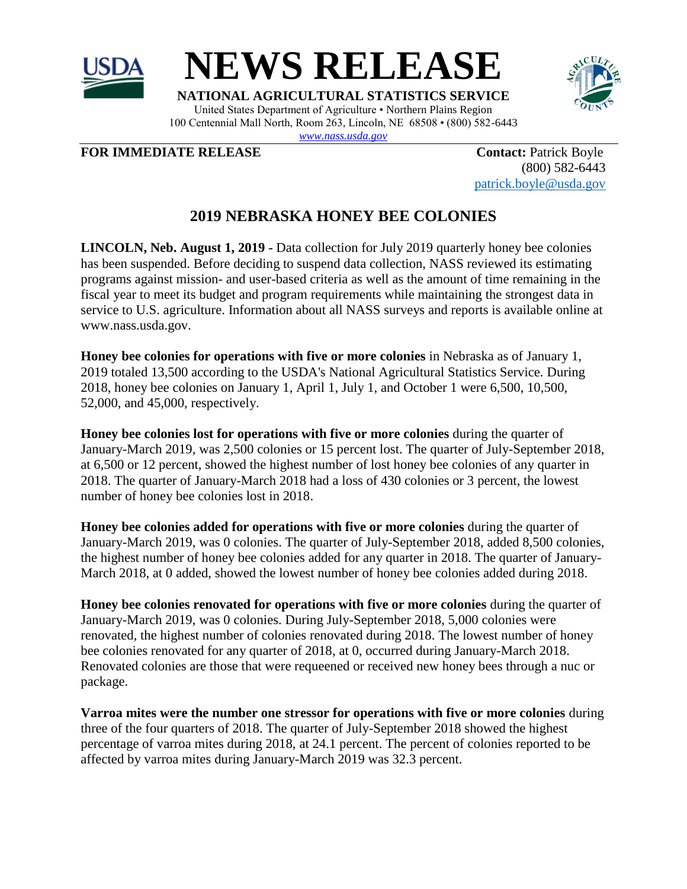



**NATIONAL AGRICULTURAL STATISTICS SERVICE** United States Department of Agriculture • Northern Plains Region 100 Centennial Mall North, Room 263, Lincoln, NE 68508 • (800) 582-6443

*[www.nass.usda.gov](http://www.nass.usda.gov/)*

**FOR IMMEDIATE RELEASE Contact:** Patrick Boyle

(800) 582-6443 [patrick.boyle@usda.gov](mailto:patrick.boyle@usda.gov)

## **2019 NEBRASKA HONEY BEE COLONIES**

**LINCOLN, Neb. August 1, 2019 -** Data collection for July 2019 quarterly honey bee colonies has been suspended. Before deciding to suspend data collection, NASS reviewed its estimating programs against mission- and user-based criteria as well as the amount of time remaining in the fiscal year to meet its budget and program requirements while maintaining the strongest data in service to U.S. agriculture. Information about all NASS surveys and reports is available online at www.nass.usda.gov.

**Honey bee colonies for operations with five or more colonies** in Nebraska as of January 1, 2019 totaled 13,500 according to the USDA's National Agricultural Statistics Service. During 2018, honey bee colonies on January 1, April 1, July 1, and October 1 were 6,500, 10,500, 52,000, and 45,000, respectively.

**Honey bee colonies lost for operations with five or more colonies** during the quarter of January-March 2019, was 2,500 colonies or 15 percent lost. The quarter of July-September 2018, at 6,500 or 12 percent, showed the highest number of lost honey bee colonies of any quarter in 2018. The quarter of January-March 2018 had a loss of 430 colonies or 3 percent, the lowest number of honey bee colonies lost in 2018.

**Honey bee colonies added for operations with five or more colonies** during the quarter of January-March 2019, was 0 colonies. The quarter of July-September 2018, added 8,500 colonies, the highest number of honey bee colonies added for any quarter in 2018. The quarter of January-March 2018, at 0 added, showed the lowest number of honey bee colonies added during 2018.

**Honey bee colonies renovated for operations with five or more colonies** during the quarter of January-March 2019, was 0 colonies. During July-September 2018, 5,000 colonies were renovated, the highest number of colonies renovated during 2018. The lowest number of honey bee colonies renovated for any quarter of 2018, at 0, occurred during January-March 2018. Renovated colonies are those that were requeened or received new honey bees through a nuc or package.

**Varroa mites were the number one stressor for operations with five or more colonies** during three of the four quarters of 2018. The quarter of July-September 2018 showed the highest percentage of varroa mites during 2018, at 24.1 percent. The percent of colonies reported to be affected by varroa mites during January-March 2019 was 32.3 percent.